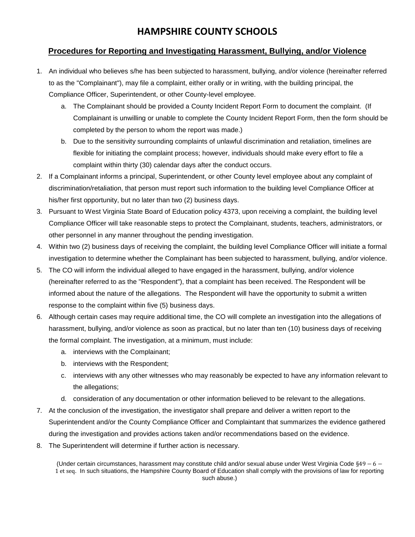# **HAMPSHIRE COUNTY SCHOOLS**

#### **Procedures for Reporting and Investigating Harassment, Bullying, and/or Violence**

- 1. An individual who believes s/he has been subjected to harassment, bullying, and/or violence (hereinafter referred to as the "Complainant"), may file a complaint, either orally or in writing, with the building principal, the Compliance Officer, Superintendent, or other County-level employee.
	- a. The Complainant should be provided a County Incident Report Form to document the complaint. (If Complainant is unwilling or unable to complete the County Incident Report Form, then the form should be completed by the person to whom the report was made.)
	- b. Due to the sensitivity surrounding complaints of unlawful discrimination and retaliation, timelines are flexible for initiating the complaint process; however, individuals should make every effort to file a complaint within thirty (30) calendar days after the conduct occurs.
- 2. If a Complainant informs a principal, Superintendent, or other County level employee about any complaint of discrimination/retaliation, that person must report such information to the building level Compliance Officer at his/her first opportunity, but no later than two (2) business days.
- 3. Pursuant to West Virginia State Board of Education policy 4373, upon receiving a complaint, the building level Compliance Officer will take reasonable steps to protect the Complainant, students, teachers, administrators, or other personnel in any manner throughout the pending investigation.
- 4. Within two (2) business days of receiving the complaint, the building level Compliance Officer will initiate a formal investigation to determine whether the Complainant has been subjected to harassment, bullying, and/or violence.
- 5. The CO will inform the individual alleged to have engaged in the harassment, bullying, and/or violence (hereinafter referred to as the "Respondent"), that a complaint has been received. The Respondent will be informed about the nature of the allegations. The Respondent will have the opportunity to submit a written response to the complaint within five (5) business days.
- 6. Although certain cases may require additional time, the CO will complete an investigation into the allegations of harassment, bullying, and/or violence as soon as practical, but no later than ten (10) business days of receiving the formal complaint. The investigation, at a minimum, must include:
	- a. interviews with the Complainant;
	- b. interviews with the Respondent;
	- c. interviews with any other witnesses who may reasonably be expected to have any information relevant to the allegations;
	- d. consideration of any documentation or other information believed to be relevant to the allegations.
- 7. At the conclusion of the investigation, the investigator shall prepare and deliver a written report to the Superintendent and/or the County Compliance Officer and Complaintant that summarizes the evidence gathered during the investigation and provides actions taken and/or recommendations based on the evidence.
- 8. The Superintendent will determine if further action is necessary.

(Under certain circumstances, harassment may constitute child and/or sexual abuse under West Virginia Code §49 − 6 − 1 et seq. In such situations, the Hampshire County Board of Education shall comply with the provisions of law for reporting such abuse.)